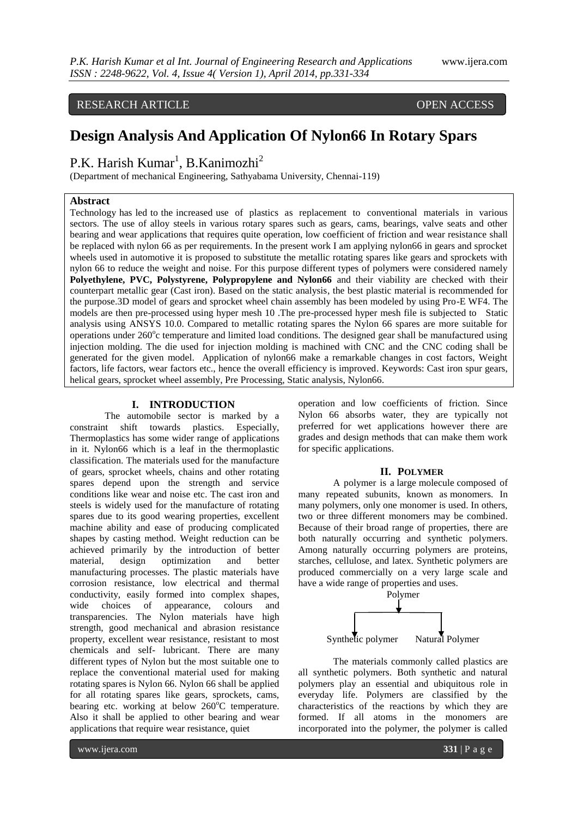# RESEARCH ARTICLE OPEN ACCESS

# **Design Analysis And Application Of Nylon66 In Rotary Spars**

# P.K. Harish Kumar<sup>1</sup>, B.Kanimozhi<sup>2</sup>

(Department of mechanical Engineering, Sathyabama University, Chennai-119)

#### **Abstract**

Technology has led to the increased use of plastics as replacement to conventional materials in various sectors. The use of alloy steels in various rotary spares such as gears, cams, bearings, valve seats and other bearing and wear applications that requires quite operation, low coefficient of friction and wear resistance shall be replaced with nylon 66 as per requirements. In the present work I am applying nylon66 in gears and sprocket wheels used in automotive it is proposed to substitute the metallic rotating spares like gears and sprockets with nylon 66 to reduce the weight and noise. For this purpose different types of polymers were considered namely **Polyethylene, PVC, Polystyrene, Polypropylene and Nylon66** and their viability are checked with their counterpart metallic gear (Cast iron). Based on the static analysis, the best plastic material is recommended for the purpose.3D model of gears and sprocket wheel chain assembly has been modeled by using Pro-E WF4. The models are then pre-processed using hyper mesh 10 .The pre-processed hyper mesh file is subjected to Static analysis using ANSYS 10.0. Compared to metallic rotating spares the Nylon 66 spares are more suitable for operations under 260°c temperature and limited load conditions. The designed gear shall be manufactured using injection molding. The die used for injection molding is machined with CNC and the CNC coding shall be generated for the given model. Application of nylon66 make a remarkable changes in cost factors, Weight factors, life factors, wear factors etc., hence the overall efficiency is improved. Keywords: Cast iron spur gears, helical gears, sprocket wheel assembly, Pre Processing, Static analysis, Nylon66.

#### **I. INTRODUCTION**

The automobile sector is marked by a constraint shift towards plastics. Especially, Thermoplastics has some wider range of applications in it. Nylon66 which is a leaf in the thermoplastic classification. The materials used for the manufacture of gears, sprocket wheels, chains and other rotating spares depend upon the strength and service conditions like wear and noise etc. The cast iron and steels is widely used for the manufacture of rotating spares due to its good wearing properties, excellent machine ability and ease of producing complicated shapes by casting method. Weight reduction can be achieved primarily by the introduction of better material, design optimization and better manufacturing processes. The plastic materials have corrosion resistance, low electrical and thermal conductivity, easily formed into complex shapes, wide choices of appearance, colours and transparencies. The Nylon materials have high strength, good mechanical and abrasion resistance property, excellent wear resistance, resistant to most chemicals and self- lubricant. There are many different types of Nylon but the most suitable one to replace the conventional material used for making rotating spares is Nylon 66. Nylon 66 shall be applied for all rotating spares like gears, sprockets, cams, bearing etc. working at below  $260^{\circ}$ C temperature. Also it shall be applied to other bearing and wear applications that require wear resistance, quiet

operation and low coefficients of friction. Since Nylon 66 absorbs water, they are typically not preferred for wet applications however there are grades and design methods that can make them work for specific applications.

#### **II. POLYMER**

A polymer is a [large](http://en.wikipedia.org/wiki/Macromolecule) [molecule](http://en.wikipedia.org/wiki/Molecule) composed of many repeated subunits, known as [monomers.](http://en.wikipedia.org/wiki/Monomer) In many polymers, only one monomer is used. In others, two or three different monomers may be combined. Because of their broad range of properties, there are both naturally occurring and synthetic polymers. Among naturally occurring polymers are proteins, starches, cellulose, and latex. Synthetic polymers are produced commercially on a very large scale and have a wide range of properties and uses.



The materials commonly called plastics are all synthetic polymers. Both synthetic and natural polymers play an essential and ubiquitous role in everyday life. Polymers are classified by the characteristics of the reactions by which they are formed. If all atoms in the monomers are incorporated into the polymer, the polymer is called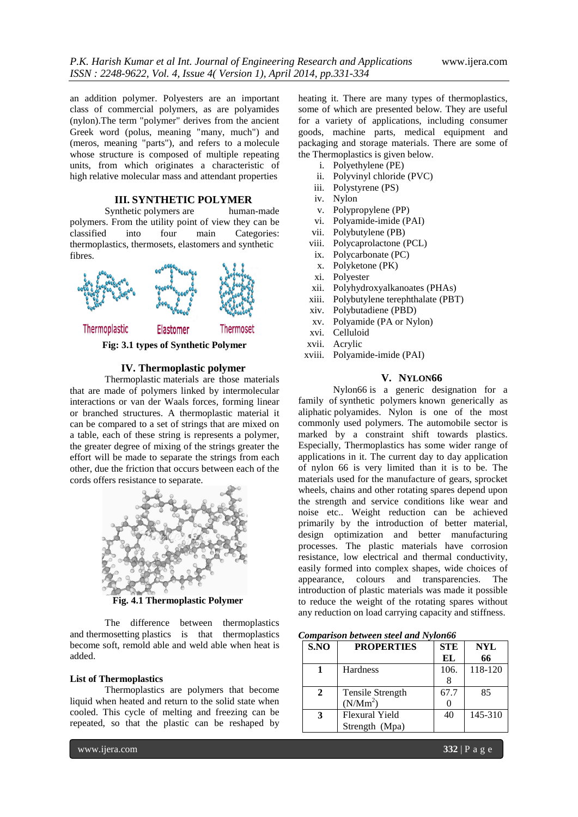an addition polymer. Polyesters are an important class of commercial polymers, as are polyamides (nylon).The term "polymer" derives from the ancient Greek word (polus, meaning "many, much") and (meros, meaning "parts"), and refers to a [molecule](http://en.wikipedia.org/wiki/Molecule) whose structure is composed of multiple repeating units, from which originates a characteristic of high [relative molecular mass](http://en.wikipedia.org/wiki/Relative_molecular_mass) and attendant properties

## **III. SYNTHETIC POLYMER**

Synthetic [polymers](http://en.wikipedia.org/wiki/Polymers) are human-made polymers. From the utility point of view they can be classified into four main Categories: [thermoplastics,](http://en.wikipedia.org/wiki/Thermoplastic) [thermosets,](http://en.wikipedia.org/wiki/Thermoset) [elastomers](http://en.wikipedia.org/wiki/Elastomer) and [synthetic](http://en.wikipedia.org/wiki/Synthetic_fiber)  [fibres.](http://en.wikipedia.org/wiki/Synthetic_fiber)



#### **IV. Thermoplastic polymer**

Thermoplastic materials are those materials that are made of polymers linked by intermolecular interactions or van der Waals forces, forming linear or branched structures. A thermoplastic material it can be compared to a set of strings that are mixed on a table, each of these string is represents a polymer, the greater degree of mixing of the strings greater the effort will be made to separate the strings from each other, due the friction that occurs between each of the cords offers resistance to separate.



**Fig. 4.1 Thermoplastic Polymer**

The difference between thermoplastics and [thermosetting](http://thermosetting.askdefine.com/) plastics is that thermoplastics become soft, remold able and weld able when heat is added.

#### **List of Thermoplastics**

Thermoplastics are polymers that become liquid when heated and return to the solid state when cooled. This cycle of melting and freezing can be repeated, so that the plastic can be reshaped by

- i. [Polyethylene](http://www.askdefine.com/search?q=Polyethylene) (PE)
- ii. [Polyvinyl chloride](http://www.askdefine.com/search?q=Polyvinyl%20chloride) (PVC)
- iii. [Polystyrene](http://www.askdefine.com/search?q=Polystyrene) (PS)
- iv. Nylon
- v. [Polypropylene](http://www.askdefine.com/search?q=Polypropylene) (PP)
- vi. [Polyamide-imide](http://www.askdefine.com/search?q=Polyamide-imide) (PAI)
- vii. [Polybutylene](http://www.askdefine.com/search?q=Polybutylene) (PB)
- viii. [Polycaprolactone](http://www.askdefine.com/search?q=Polycaprolactone) (PCL)
- ix. [Polycarbonate](http://www.askdefine.com/search?q=Polycarbonate) (PC)
- x. [Polyketone](http://www.askdefine.com/search?q=Polyketone) (PK)
- xi. [Polyester](http://www.askdefine.com/search?q=Polyester)
- xii. [Polyhydroxyalkanoates](http://www.askdefine.com/search?q=Polyhydroxyalkanoates) (PHAs)
- xiii. [Polybutylene terephthalate](http://www.askdefine.com/search?q=Polybutylene%20terephthalate) (PBT)
- xiv. [Polybutadiene](http://www.askdefine.com/search?q=Polybutadiene) (PBD)
- xv. [Polyamide](http://www.askdefine.com/search?q=Polyamide) (PA or Nylon)
- xvi. [Celluloid](http://www.askdefine.com/search?q=Celluloid)
- [Acrylic](http://www.askdefine.com/search?q=Polymethyl%20methacrylate)
- xviii. [Polyamide-imide](http://www.askdefine.com/search?q=Polyamide-imide) (PAI)

#### **V. NYLON66**

Nylon66 is a generic designation for a family of [synthetic polymers](http://en.wikipedia.org/wiki/Synthetic_polymer) known generically as aliphatic [polyamides.](http://en.wikipedia.org/wiki/Polyamide) Nylon is one of the most commonly used polymers. The automobile sector is marked by a constraint shift towards plastics. Especially, Thermoplastics has some wider range of applications in it. The current day to day application of nylon 66 is very limited than it is to be. The materials used for the manufacture of gears, sprocket wheels, chains and other rotating spares depend upon the strength and service conditions like wear and noise etc.. Weight reduction can be achieved primarily by the introduction of better material, design optimization and better manufacturing processes. The plastic materials have corrosion resistance, low electrical and thermal conductivity, easily formed into complex shapes, wide choices of appearance, colours and transparencies. The introduction of plastic materials was made it possible to reduce the weight of the rotating spares without any reduction on load carrying capacity and stiffness.

| <b>Comparison between steel and Nylon66</b> |  |  |
|---------------------------------------------|--|--|
|                                             |  |  |

| S.NO         | <b>PROPERTIES</b> | <b>STE</b> | <b>NYL</b> |
|--------------|-------------------|------------|------------|
|              |                   | EL         | 66         |
|              | Hardness          | 106.       | 118-120    |
|              |                   |            |            |
|              | Tensile Strength  | 67.7       | 85         |
|              | $(N/Mm^2)$        |            |            |
| $\mathbf{3}$ | Flexural Yield    | 40         | 145-310    |
|              | Strength (Mpa)    |            |            |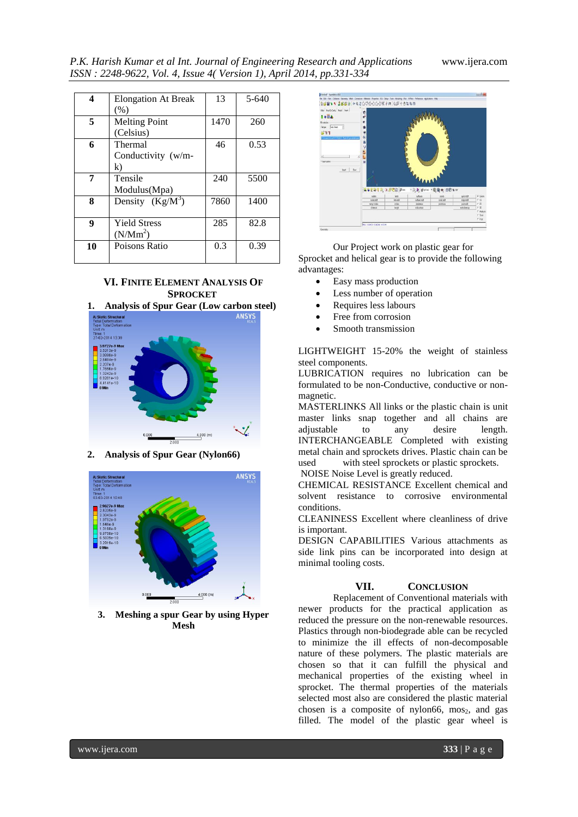*P.K. Harish Kumar et al Int. Journal of Engineering Research and Applications* www.ijera.com *ISSN : 2248-9622, Vol. 4, Issue 4( Version 1), April 2014, pp.331-334*

| 4  | <b>Elongation At Break</b> | 13   | $5-640$ |
|----|----------------------------|------|---------|
|    | (% )                       |      |         |
| 5  | <b>Melting Point</b>       | 1470 | 260     |
|    | (Celsius)                  |      |         |
| 6  | Thermal                    | 46   | 0.53    |
|    | Conductivity (w/m-         |      |         |
|    | k)                         |      |         |
| 7  | Tensile                    | 240  | 5500    |
|    | Modulus(Mpa)               |      |         |
| 8  | Density $(Kg/M^3)$         | 7860 | 1400    |
|    |                            |      |         |
| 9  | <b>Yield Stress</b>        | 285  | 82.8    |
|    | $(N/Mm^2)$                 |      |         |
| 10 | Poisons Ratio              | 0.3  | 0.39    |
|    |                            |      |         |

## **VI. FINITE ELEMENT ANALYSIS OF SPROCKET**



**2. Analysis of Spur Gear (Nylon66)**



**3. Meshing a spur Gear by using Hyper Mesh**



Our Project work on plastic gear for Sprocket and helical gear is to provide the following advantages:

- Easy mass production
- Less number of operation
- Requires less labours
- Free from corrosion
- Smooth transmission

LIGHTWEIGHT 15-20% the weight of stainless steel components.

LUBRICATION requires no lubrication can be formulated to be non-Conductive, conductive or nonmagnetic.

MASTERLINKS All links or the plastic chain is unit master links snap together and all chains are<br>adjustable to any desire length. adjustable to any desire INTERCHANGEABLE Completed with existing metal chain and sprockets drives. Plastic chain can be used with steel sprockets or plastic sprockets.

NOISE Noise Level is greatly reduced.

CHEMICAL RESISTANCE Excellent chemical and solvent resistance to corrosive environmental conditions.

CLEANINESS Excellent where cleanliness of drive is important.

DESIGN CAPABILITIES Various attachments as side link pins can be incorporated into design at minimal tooling costs.

### **VII. CONCLUSION**

Replacement of Conventional materials with newer products for the practical application as reduced the pressure on the non-renewable resources. Plastics through non-biodegrade able can be recycled to minimize the ill effects of non-decomposable nature of these polymers. The plastic materials are chosen so that it can fulfill the physical and mechanical properties of the existing wheel in sprocket. The thermal properties of the materials selected most also are considered the plastic material chosen is a composite of nylon66,  $m\omega_{2}$ , and gas filled. The model of the plastic gear wheel is